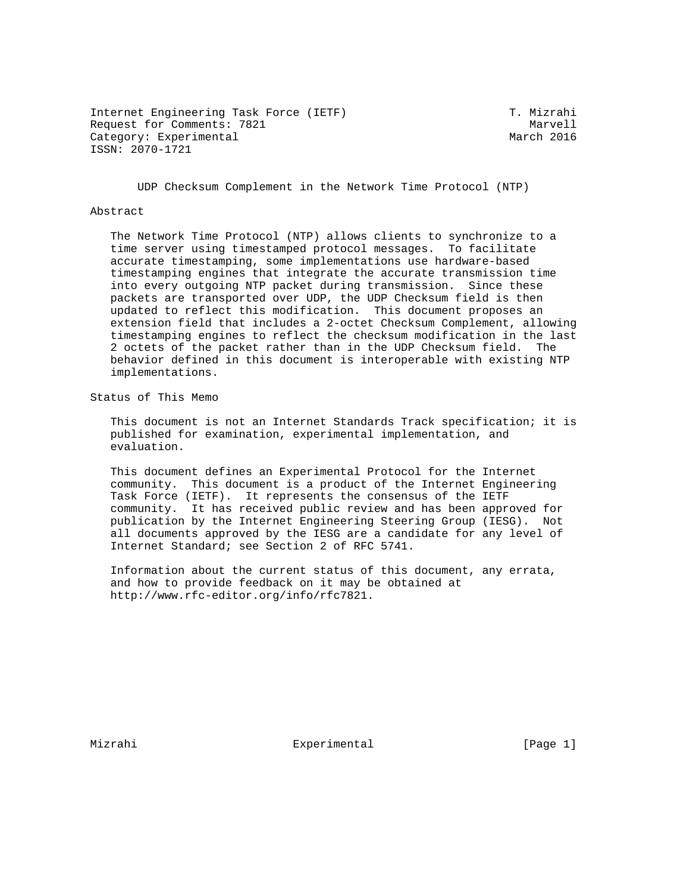Internet Engineering Task Force (IETF) T. Mizrahi Request for Comments: 7821 Marvell Marvell Marvell Marvell Marvell Marvell Marvell Marvell March 2016 Category: Experimental ISSN: 2070-1721

UDP Checksum Complement in the Network Time Protocol (NTP)

#### Abstract

 The Network Time Protocol (NTP) allows clients to synchronize to a time server using timestamped protocol messages. To facilitate accurate timestamping, some implementations use hardware-based timestamping engines that integrate the accurate transmission time into every outgoing NTP packet during transmission. Since these packets are transported over UDP, the UDP Checksum field is then updated to reflect this modification. This document proposes an extension field that includes a 2-octet Checksum Complement, allowing timestamping engines to reflect the checksum modification in the last 2 octets of the packet rather than in the UDP Checksum field. The behavior defined in this document is interoperable with existing NTP implementations.

Status of This Memo

 This document is not an Internet Standards Track specification; it is published for examination, experimental implementation, and evaluation.

 This document defines an Experimental Protocol for the Internet community. This document is a product of the Internet Engineering Task Force (IETF). It represents the consensus of the IETF community. It has received public review and has been approved for publication by the Internet Engineering Steering Group (IESG). Not all documents approved by the IESG are a candidate for any level of Internet Standard; see Section 2 of RFC 5741.

 Information about the current status of this document, any errata, and how to provide feedback on it may be obtained at http://www.rfc-editor.org/info/rfc7821.

Mizrahi **Experimental** Experimental [Page 1]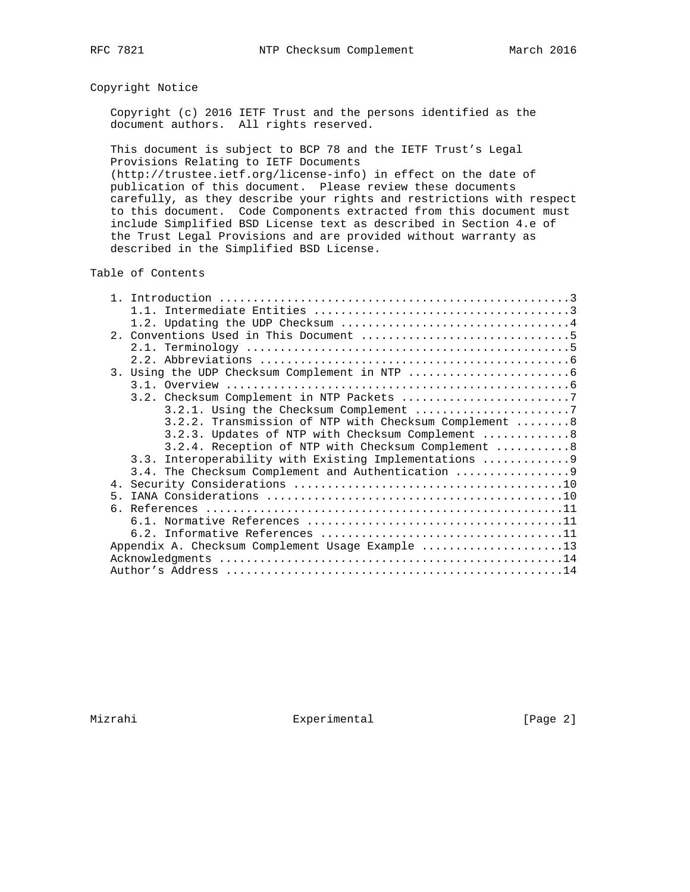## Copyright Notice

 Copyright (c) 2016 IETF Trust and the persons identified as the document authors. All rights reserved.

 This document is subject to BCP 78 and the IETF Trust's Legal Provisions Relating to IETF Documents

 (http://trustee.ietf.org/license-info) in effect on the date of publication of this document. Please review these documents carefully, as they describe your rights and restrictions with respect to this document. Code Components extracted from this document must include Simplified BSD License text as described in Section 4.e of the Trust Legal Provisions and are provided without warranty as described in the Simplified BSD License.

## Table of Contents

| $1 \quad 1$ |                                                        |
|-------------|--------------------------------------------------------|
|             |                                                        |
|             |                                                        |
|             |                                                        |
|             |                                                        |
|             |                                                        |
|             |                                                        |
|             | 3.2. Checksum Complement in NTP Packets 7              |
|             |                                                        |
|             | 3.2.2. Transmission of NTP with Checksum Complement 8  |
|             | 3.2.3. Updates of NTP with Checksum Complement 8       |
|             | 3.2.4. Reception of NTP with Checksum Complement 8     |
|             | 3.3. Interoperability with Existing Implementations  9 |
|             | 3.4. The Checksum Complement and Authentication        |
|             |                                                        |
| 5           |                                                        |
| რ.          |                                                        |
|             |                                                        |
|             |                                                        |
|             | Appendix A. Checksum Complement Usage Example 13       |
|             |                                                        |
|             |                                                        |

Mizrahi **Experimental** Experimental [Page 2]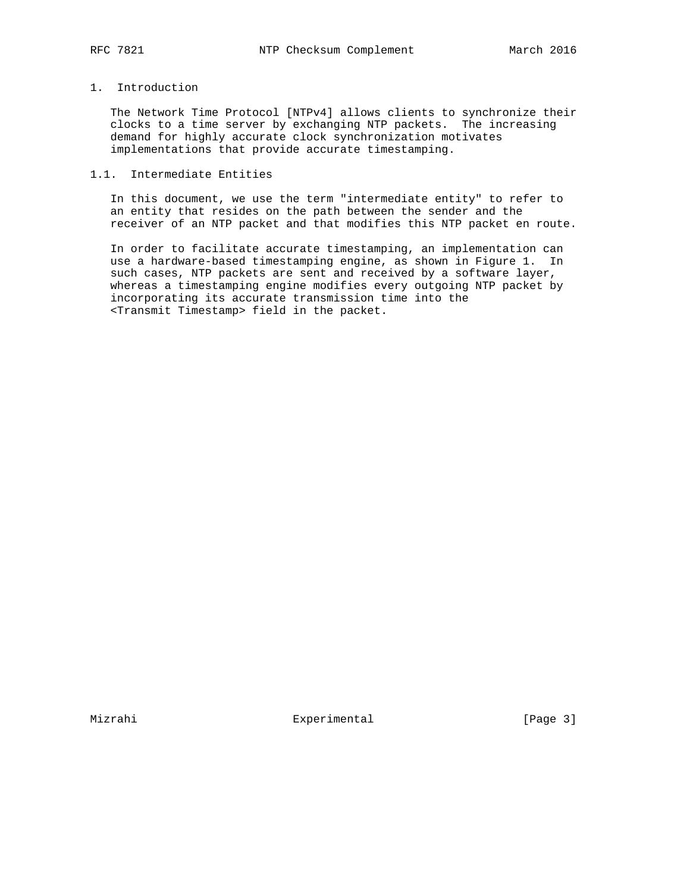## 1. Introduction

 The Network Time Protocol [NTPv4] allows clients to synchronize their clocks to a time server by exchanging NTP packets. The increasing demand for highly accurate clock synchronization motivates implementations that provide accurate timestamping.

## 1.1. Intermediate Entities

 In this document, we use the term "intermediate entity" to refer to an entity that resides on the path between the sender and the receiver of an NTP packet and that modifies this NTP packet en route.

 In order to facilitate accurate timestamping, an implementation can use a hardware-based timestamping engine, as shown in Figure 1. In such cases, NTP packets are sent and received by a software layer, whereas a timestamping engine modifies every outgoing NTP packet by incorporating its accurate transmission time into the <Transmit Timestamp> field in the packet.

Mizrahi **Experimental** Experimental [Page 3]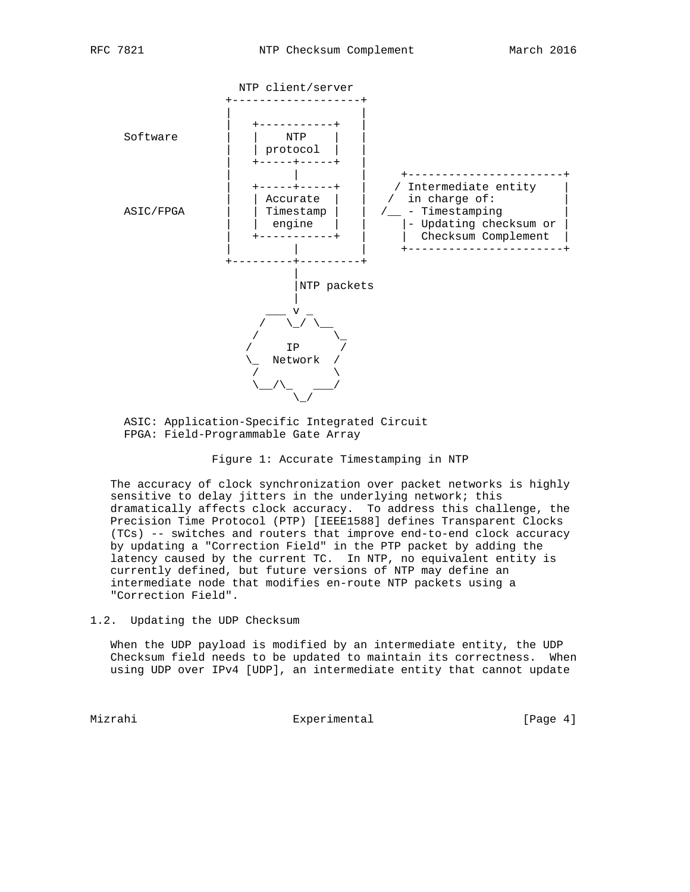

 ASIC: Application-Specific Integrated Circuit FPGA: Field-Programmable Gate Array

#### Figure 1: Accurate Timestamping in NTP

 The accuracy of clock synchronization over packet networks is highly sensitive to delay jitters in the underlying network; this dramatically affects clock accuracy. To address this challenge, the Precision Time Protocol (PTP) [IEEE1588] defines Transparent Clocks (TCs) -- switches and routers that improve end-to-end clock accuracy by updating a "Correction Field" in the PTP packet by adding the latency caused by the current TC. In NTP, no equivalent entity is currently defined, but future versions of NTP may define an intermediate node that modifies en-route NTP packets using a "Correction Field".

1.2. Updating the UDP Checksum

 When the UDP payload is modified by an intermediate entity, the UDP Checksum field needs to be updated to maintain its correctness. When using UDP over IPv4 [UDP], an intermediate entity that cannot update

Mizrahi **Experimental** Experimental (Page 4)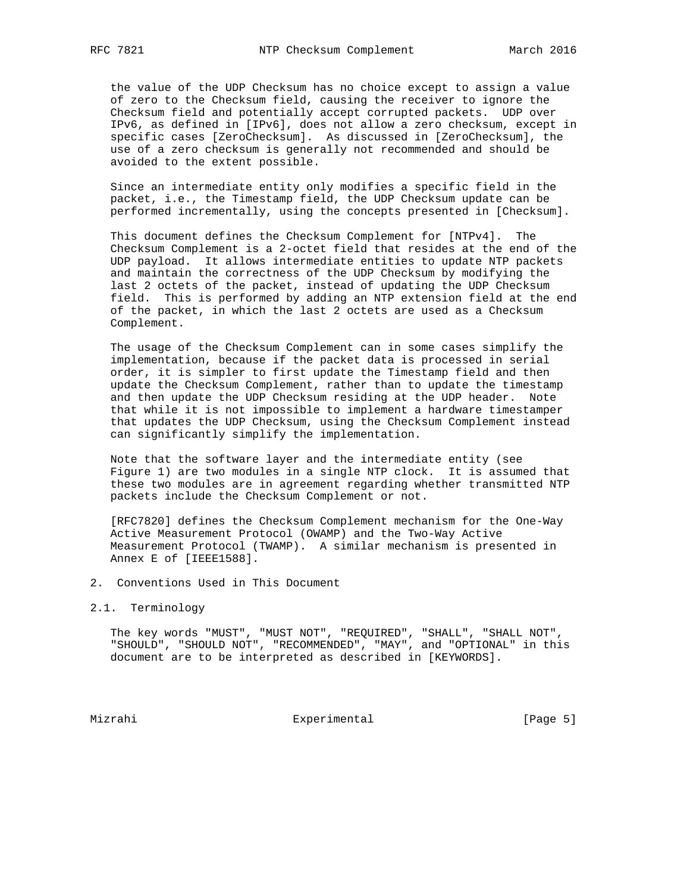the value of the UDP Checksum has no choice except to assign a value of zero to the Checksum field, causing the receiver to ignore the Checksum field and potentially accept corrupted packets. UDP over IPv6, as defined in [IPv6], does not allow a zero checksum, except in specific cases [ZeroChecksum]. As discussed in [ZeroChecksum], the use of a zero checksum is generally not recommended and should be avoided to the extent possible.

 Since an intermediate entity only modifies a specific field in the packet, i.e., the Timestamp field, the UDP Checksum update can be performed incrementally, using the concepts presented in [Checksum].

 This document defines the Checksum Complement for [NTPv4]. The Checksum Complement is a 2-octet field that resides at the end of the UDP payload. It allows intermediate entities to update NTP packets and maintain the correctness of the UDP Checksum by modifying the last 2 octets of the packet, instead of updating the UDP Checksum field. This is performed by adding an NTP extension field at the end of the packet, in which the last 2 octets are used as a Checksum Complement.

 The usage of the Checksum Complement can in some cases simplify the implementation, because if the packet data is processed in serial order, it is simpler to first update the Timestamp field and then update the Checksum Complement, rather than to update the timestamp and then update the UDP Checksum residing at the UDP header. Note that while it is not impossible to implement a hardware timestamper that updates the UDP Checksum, using the Checksum Complement instead can significantly simplify the implementation.

 Note that the software layer and the intermediate entity (see Figure 1) are two modules in a single NTP clock. It is assumed that these two modules are in agreement regarding whether transmitted NTP packets include the Checksum Complement or not.

 [RFC7820] defines the Checksum Complement mechanism for the One-Way Active Measurement Protocol (OWAMP) and the Two-Way Active Measurement Protocol (TWAMP). A similar mechanism is presented in Annex E of [IEEE1588].

- 2. Conventions Used in This Document
- 2.1. Terminology

 The key words "MUST", "MUST NOT", "REQUIRED", "SHALL", "SHALL NOT", "SHOULD", "SHOULD NOT", "RECOMMENDED", "MAY", and "OPTIONAL" in this document are to be interpreted as described in [KEYWORDS].

Mizrahi **Experimental** Experimental [Page 5]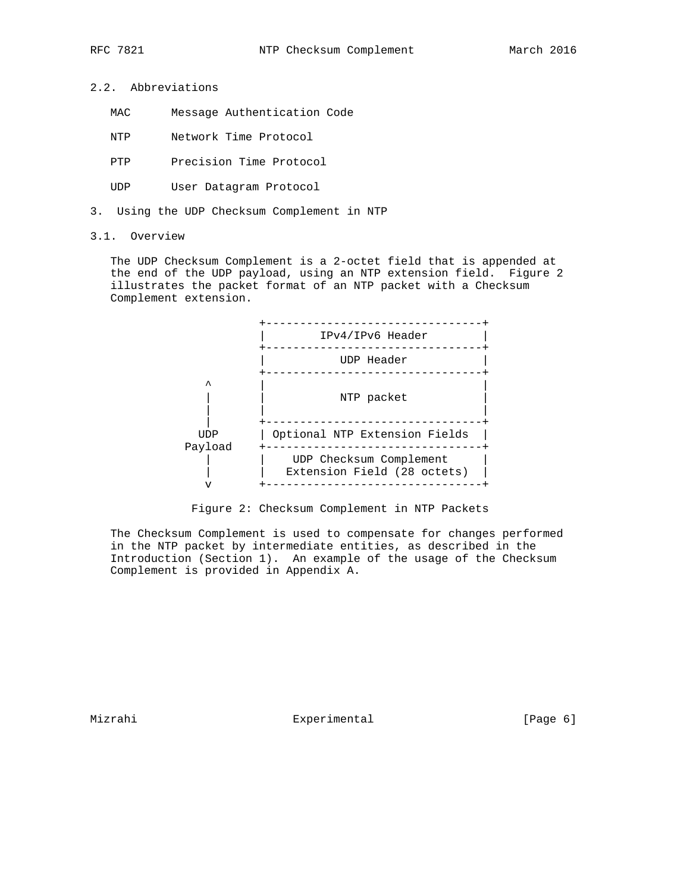- 2.2. Abbreviations
	- MAC Message Authentication Code
	- NTP Network Time Protocol
	- PTP Precision Time Protocol
	- UDP User Datagram Protocol
- 3. Using the UDP Checksum Complement in NTP
- 3.1. Overview

 The UDP Checksum Complement is a 2-octet field that is appended at the end of the UDP payload, using an NTP extension field. Figure 2 illustrates the packet format of an NTP packet with a Checksum Complement extension.



Figure 2: Checksum Complement in NTP Packets

 The Checksum Complement is used to compensate for changes performed in the NTP packet by intermediate entities, as described in the Introduction (Section 1). An example of the usage of the Checksum Complement is provided in Appendix A.

Mizrahi **Experimental** Experimental [Page 6]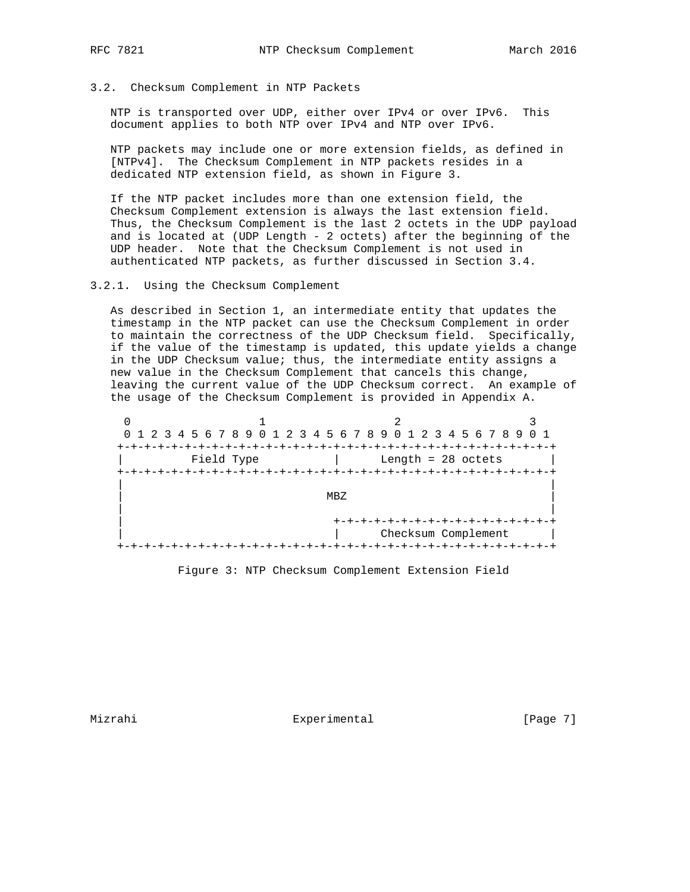### 3.2. Checksum Complement in NTP Packets

 NTP is transported over UDP, either over IPv4 or over IPv6. This document applies to both NTP over IPv4 and NTP over IPv6.

 NTP packets may include one or more extension fields, as defined in [NTPv4]. The Checksum Complement in NTP packets resides in a dedicated NTP extension field, as shown in Figure 3.

 If the NTP packet includes more than one extension field, the Checksum Complement extension is always the last extension field. Thus, the Checksum Complement is the last 2 octets in the UDP payload and is located at (UDP Length - 2 octets) after the beginning of the UDP header. Note that the Checksum Complement is not used in authenticated NTP packets, as further discussed in Section 3.4.

#### 3.2.1. Using the Checksum Complement

 As described in Section 1, an intermediate entity that updates the timestamp in the NTP packet can use the Checksum Complement in order to maintain the correctness of the UDP Checksum field. Specifically, if the value of the timestamp is updated, this update yields a change in the UDP Checksum value; thus, the intermediate entity assigns a new value in the Checksum Complement that cancels this change, leaving the current value of the UDP Checksum correct. An example of the usage of the Checksum Complement is provided in Appendix A.

 $0$  1 2 3 0 1 2 3 4 5 6 7 8 9 0 1 2 3 4 5 6 7 8 9 0 1 2 3 4 5 6 7 8 9 0 1 +-+-+-+-+-+-+-+-+-+-+-+-+-+-+-+-+-+-+-+-+-+-+-+-+-+-+-+-+-+-+-+-+ | Field Type | Length = 28 octets | +-+-+-+-+-+-+-+-+-+-+-+-+-+-+-+-+-+-+-+-+-+-+-+-+-+-+-+-+-+-+-+-+ | |  $M_{\rm BZ}$  and  $M_{\rm BZ}$  and  $M_{\rm BZ}$  and  $M_{\rm BZ}$  are  $M_{\rm BZ}$  and  $M_{\rm BZ}$  and  $M_{\rm BZ}$  are  $M_{\rm BZ}$  and  $M_{\rm BZ}$  are  $M_{\rm BZ}$  and  $M_{\rm BZ}$  are  $M_{\rm BZ}$  and  $M_{\rm BZ}$  are  $M_{\rm BZ}$  and  $M_{\rm BZ}$  are  $M_{\rm BZ}$  a | | | +-+-+-+-+-+-+-+-+-+-+-+-+-+-+-+-+ | | Checksum Complement | +-+-+-+-+-+-+-+-+-+-+-+-+-+-+-+-+-+-+-+-+-+-+-+-+-+-+-+-+-+-+-+-+

Figure 3: NTP Checksum Complement Extension Field

Mizrahi **Experimental** Experimental [Page 7]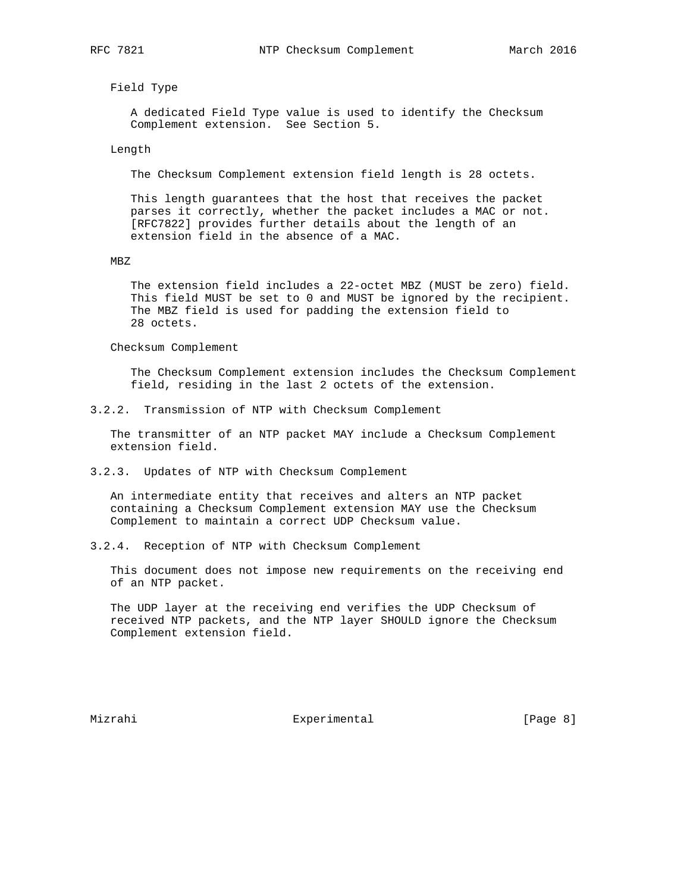Field Type

 A dedicated Field Type value is used to identify the Checksum Complement extension. See Section 5.

Length

The Checksum Complement extension field length is 28 octets.

 This length guarantees that the host that receives the packet parses it correctly, whether the packet includes a MAC or not. [RFC7822] provides further details about the length of an extension field in the absence of a MAC.

MBZ

 The extension field includes a 22-octet MBZ (MUST be zero) field. This field MUST be set to 0 and MUST be ignored by the recipient. The MBZ field is used for padding the extension field to 28 octets.

Checksum Complement

 The Checksum Complement extension includes the Checksum Complement field, residing in the last 2 octets of the extension.

3.2.2. Transmission of NTP with Checksum Complement

 The transmitter of an NTP packet MAY include a Checksum Complement extension field.

3.2.3. Updates of NTP with Checksum Complement

 An intermediate entity that receives and alters an NTP packet containing a Checksum Complement extension MAY use the Checksum Complement to maintain a correct UDP Checksum value.

3.2.4. Reception of NTP with Checksum Complement

 This document does not impose new requirements on the receiving end of an NTP packet.

 The UDP layer at the receiving end verifies the UDP Checksum of received NTP packets, and the NTP layer SHOULD ignore the Checksum Complement extension field.

Mizrahi **Experimental** Experimental [Page 8]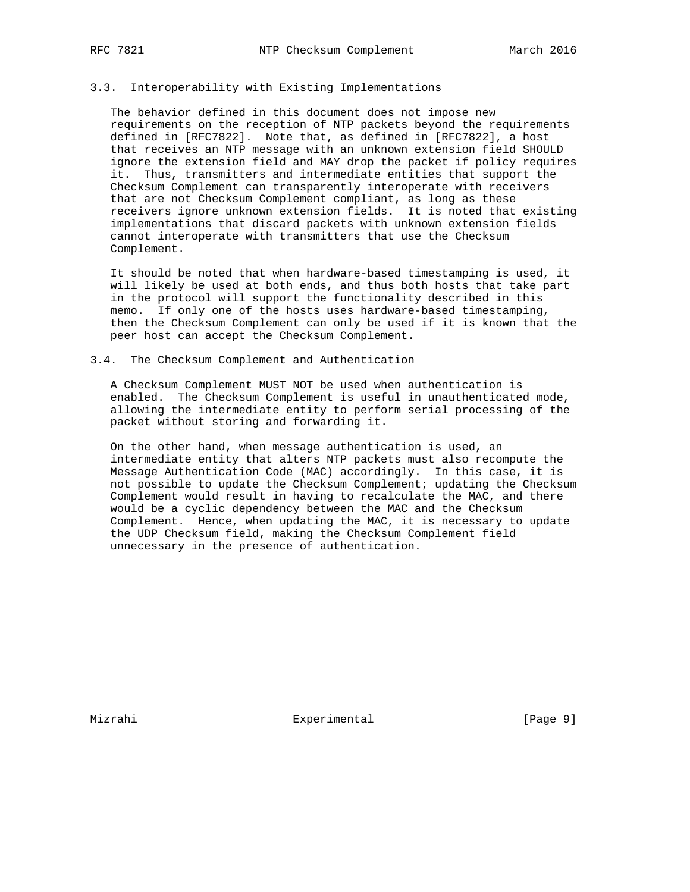## 3.3. Interoperability with Existing Implementations

 The behavior defined in this document does not impose new requirements on the reception of NTP packets beyond the requirements defined in [RFC7822]. Note that, as defined in [RFC7822], a host that receives an NTP message with an unknown extension field SHOULD ignore the extension field and MAY drop the packet if policy requires it. Thus, transmitters and intermediate entities that support the Checksum Complement can transparently interoperate with receivers that are not Checksum Complement compliant, as long as these receivers ignore unknown extension fields. It is noted that existing implementations that discard packets with unknown extension fields cannot interoperate with transmitters that use the Checksum Complement.

 It should be noted that when hardware-based timestamping is used, it will likely be used at both ends, and thus both hosts that take part in the protocol will support the functionality described in this memo. If only one of the hosts uses hardware-based timestamping, then the Checksum Complement can only be used if it is known that the peer host can accept the Checksum Complement.

### 3.4. The Checksum Complement and Authentication

 A Checksum Complement MUST NOT be used when authentication is enabled. The Checksum Complement is useful in unauthenticated mode, allowing the intermediate entity to perform serial processing of the packet without storing and forwarding it.

 On the other hand, when message authentication is used, an intermediate entity that alters NTP packets must also recompute the Message Authentication Code (MAC) accordingly. In this case, it is not possible to update the Checksum Complement; updating the Checksum Complement would result in having to recalculate the MAC, and there would be a cyclic dependency between the MAC and the Checksum Complement. Hence, when updating the MAC, it is necessary to update the UDP Checksum field, making the Checksum Complement field unnecessary in the presence of authentication.

Mizrahi **Experimental** Experimental [Page 9]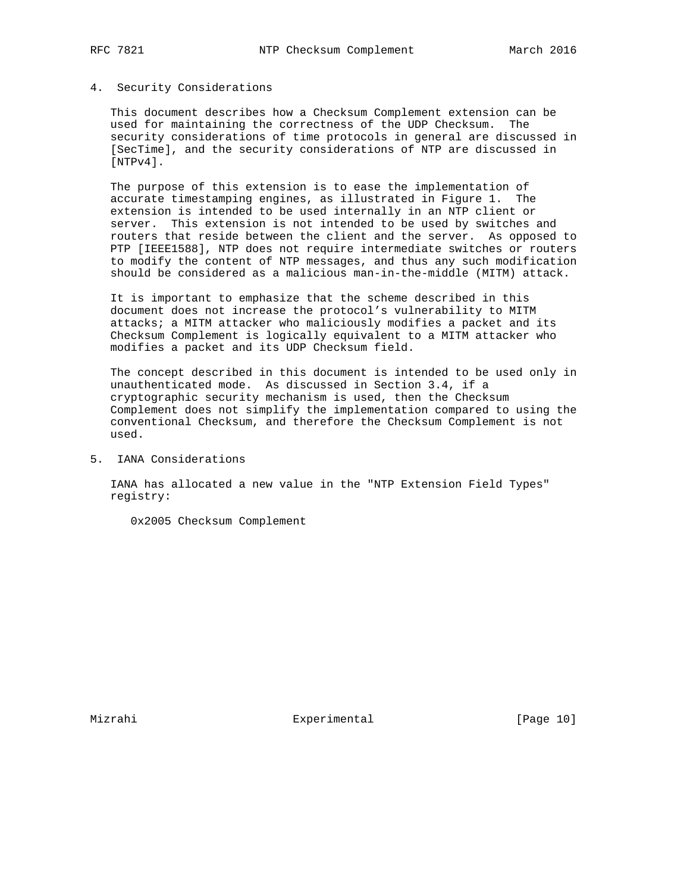# 4. Security Considerations

 This document describes how a Checksum Complement extension can be used for maintaining the correctness of the UDP Checksum. The security considerations of time protocols in general are discussed in [SecTime], and the security considerations of NTP are discussed in [NTPv4].

 The purpose of this extension is to ease the implementation of accurate timestamping engines, as illustrated in Figure 1. The extension is intended to be used internally in an NTP client or server. This extension is not intended to be used by switches and routers that reside between the client and the server. As opposed to PTP [IEEE1588], NTP does not require intermediate switches or routers to modify the content of NTP messages, and thus any such modification should be considered as a malicious man-in-the-middle (MITM) attack.

 It is important to emphasize that the scheme described in this document does not increase the protocol's vulnerability to MITM attacks; a MITM attacker who maliciously modifies a packet and its Checksum Complement is logically equivalent to a MITM attacker who modifies a packet and its UDP Checksum field.

 The concept described in this document is intended to be used only in unauthenticated mode. As discussed in Section 3.4, if a cryptographic security mechanism is used, then the Checksum Complement does not simplify the implementation compared to using the conventional Checksum, and therefore the Checksum Complement is not used.

5. IANA Considerations

 IANA has allocated a new value in the "NTP Extension Field Types" registry:

0x2005 Checksum Complement

Mizrahi **Experimental** Experimental [Page 10]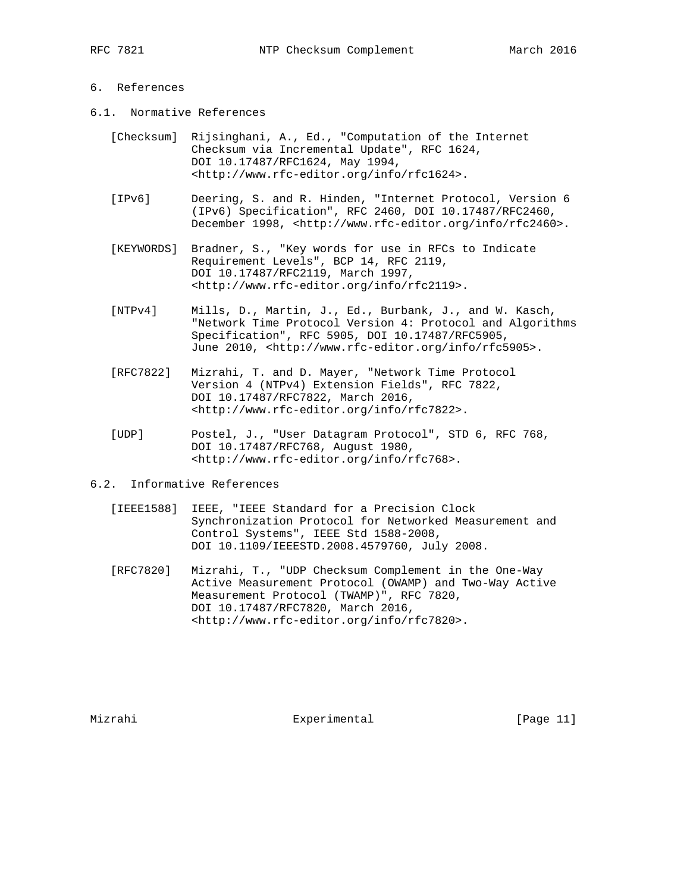## 6. References

- 6.1. Normative References
	- [Checksum] Rijsinghani, A., Ed., "Computation of the Internet Checksum via Incremental Update", RFC 1624, DOI 10.17487/RFC1624, May 1994, <http://www.rfc-editor.org/info/rfc1624>.
	- [IPv6] Deering, S. and R. Hinden, "Internet Protocol, Version 6 (IPv6) Specification", RFC 2460, DOI 10.17487/RFC2460, December 1998, <http://www.rfc-editor.org/info/rfc2460>.
	- [KEYWORDS] Bradner, S., "Key words for use in RFCs to Indicate Requirement Levels", BCP 14, RFC 2119, DOI 10.17487/RFC2119, March 1997, <http://www.rfc-editor.org/info/rfc2119>.
	- [NTPv4] Mills, D., Martin, J., Ed., Burbank, J., and W. Kasch, "Network Time Protocol Version 4: Protocol and Algorithms Specification", RFC 5905, DOI 10.17487/RFC5905, June 2010, <http://www.rfc-editor.org/info/rfc5905>.
	- [RFC7822] Mizrahi, T. and D. Mayer, "Network Time Protocol Version 4 (NTPv4) Extension Fields", RFC 7822, DOI 10.17487/RFC7822, March 2016, <http://www.rfc-editor.org/info/rfc7822>.
	- [UDP] Postel, J., "User Datagram Protocol", STD 6, RFC 768, DOI 10.17487/RFC768, August 1980, <http://www.rfc-editor.org/info/rfc768>.
- 6.2. Informative References
	- [IEEE1588] IEEE, "IEEE Standard for a Precision Clock Synchronization Protocol for Networked Measurement and Control Systems", IEEE Std 1588-2008, DOI 10.1109/IEEESTD.2008.4579760, July 2008.
	- [RFC7820] Mizrahi, T., "UDP Checksum Complement in the One-Way Active Measurement Protocol (OWAMP) and Two-Way Active Measurement Protocol (TWAMP)", RFC 7820, DOI 10.17487/RFC7820, March 2016, <http://www.rfc-editor.org/info/rfc7820>.

Mizrahi **Experimental** [Page 11]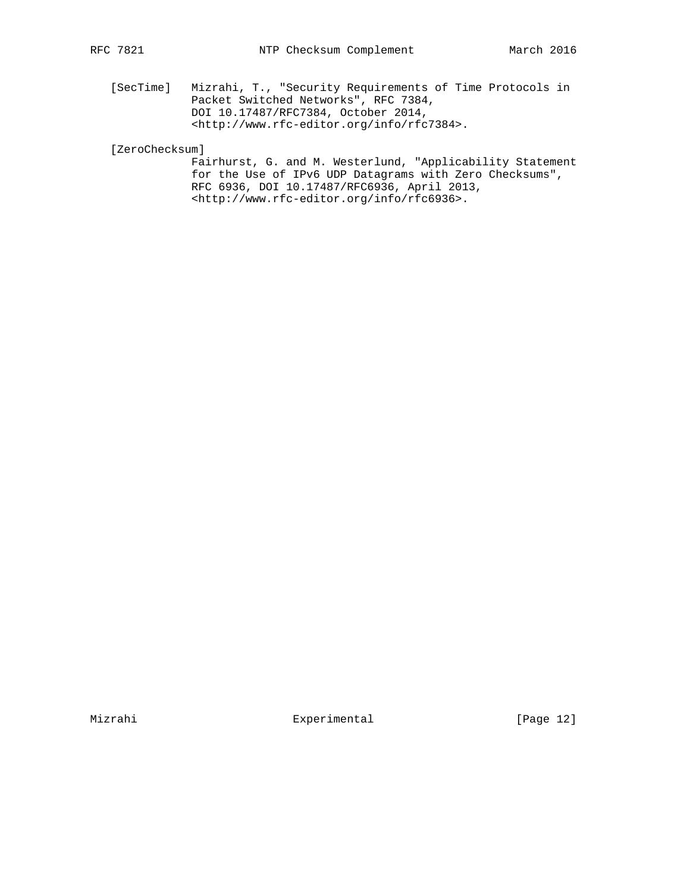[SecTime] Mizrahi, T., "Security Requirements of Time Protocols in Packet Switched Networks", RFC 7384, DOI 10.17487/RFC7384, October 2014, <http://www.rfc-editor.org/info/rfc7384>.

[ZeroChecksum]

 Fairhurst, G. and M. Westerlund, "Applicability Statement for the Use of IPv6 UDP Datagrams with Zero Checksums", RFC 6936, DOI 10.17487/RFC6936, April 2013, <http://www.rfc-editor.org/info/rfc6936>.

Mizrahi **Experimental** Experimental [Page 12]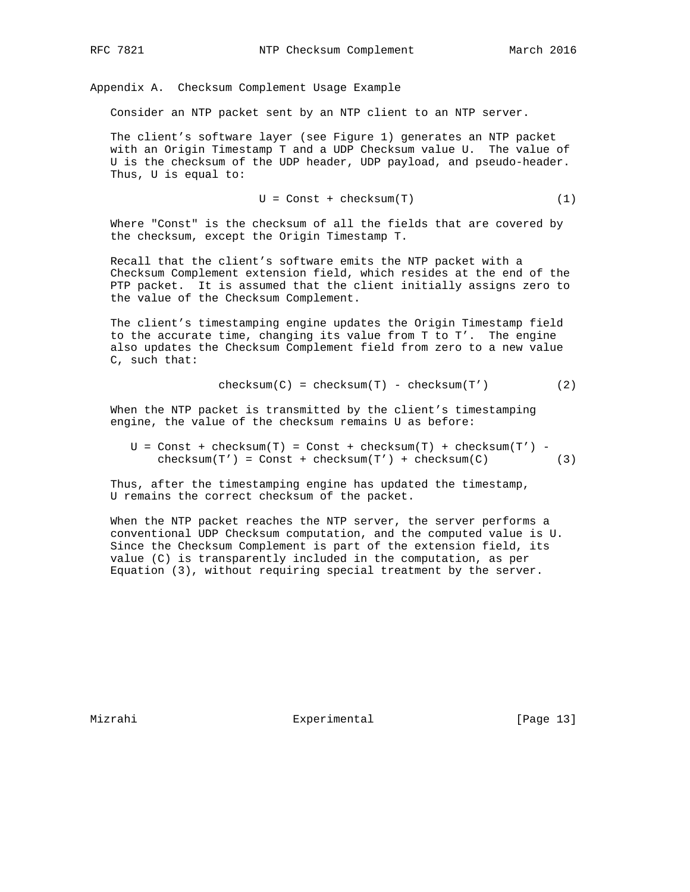Appendix A. Checksum Complement Usage Example

Consider an NTP packet sent by an NTP client to an NTP server.

 The client's software layer (see Figure 1) generates an NTP packet with an Origin Timestamp T and a UDP Checksum value U. The value of U is the checksum of the UDP header, UDP payload, and pseudo-header. Thus, U is equal to:

$$
U = Const + checksum(T)
$$
 (1)

 Where "Const" is the checksum of all the fields that are covered by the checksum, except the Origin Timestamp T.

 Recall that the client's software emits the NTP packet with a Checksum Complement extension field, which resides at the end of the PTP packet. It is assumed that the client initially assigns zero to the value of the Checksum Complement.

 The client's timestamping engine updates the Origin Timestamp field to the accurate time, changing its value from T to T'. The engine also updates the Checksum Complement field from zero to a new value C, such that:

$$
checksum(C) = checksum(T) - checksum(T')
$$
 (2)

 When the NTP packet is transmitted by the client's timestamping engine, the value of the checksum remains U as before:

 $U = Const + checksum(T) = Const + checksum(T) + checksum(T)$  $checksum(T') = Const + checksum(T') + checksum(C)$  (3)

 Thus, after the timestamping engine has updated the timestamp, U remains the correct checksum of the packet.

 When the NTP packet reaches the NTP server, the server performs a conventional UDP Checksum computation, and the computed value is U. Since the Checksum Complement is part of the extension field, its value (C) is transparently included in the computation, as per Equation (3), without requiring special treatment by the server.

Mizrahi **Experimental** Experimental [Page 13]